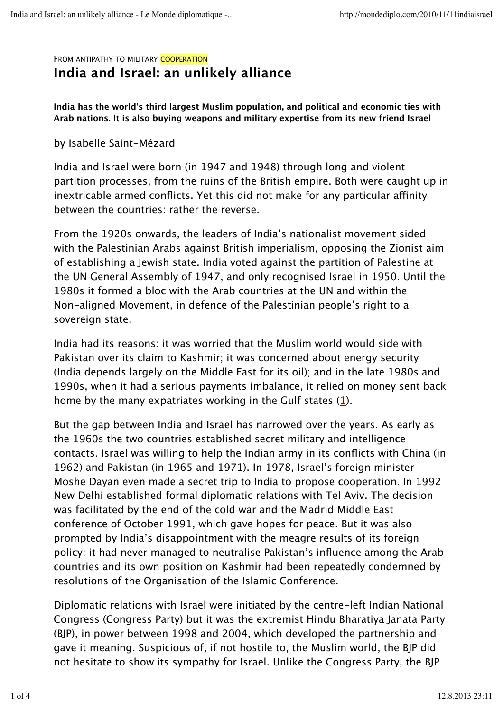#### FROM ANTIPATHY TO MILITARY COOPERATION

# **India and Israel: an unlikely alliance**

**India has the world's third largest Muslim population, and political and economic ties with Arab nations. It is also buying weapons and military expertise from its new friend Israel**

### by Isabelle Saint-Mézard

India and Israel were born (in 1947 and 1948) through long and violent partition processes, from the ruins of the British empire. Both were caught up in inextricable armed conflicts. Yet this did not make for any particular affinity between the countries: rather the reverse.

From the 1920s onwards, the leaders of India's nationalist movement sided with the Palestinian Arabs against British imperialism, opposing the Zionist aim of establishing a Jewish state. India voted against the partition of Palestine at the UN General Assembly of 1947, and only recognised Israel in 1950. Until the 1980s it formed a bloc with the Arab countries at the UN and within the Non-aligned Movement, in defence of the Palestinian people's right to a sovereign state.

India had its reasons: it was worried that the Muslim world would side with Pakistan over its claim to Kashmir; it was concerned about energy security (India depends largely on the Middle East for its oil); and in the late 1980s and 1990s, when it had a serious payments imbalance, it relied on money sent back home by the many expatriates working in the Gulf states (1).

But the gap between India and Israel has narrowed over the years. As early as the 1960s the two countries established secret military and intelligence contacts. Israel was willing to help the Indian army in its conflicts with China (in 1962) and Pakistan (in 1965 and 1971). In 1978, Israel's foreign minister Moshe Dayan even made a secret trip to India to propose cooperation. In 1992 New Delhi established formal diplomatic relations with Tel Aviv. The decision was facilitated by the end of the cold war and the Madrid Middle East conference of October 1991, which gave hopes for peace. But it was also prompted by India's disappointment with the meagre results of its foreign policy: it had never managed to neutralise Pakistan's influence among the Arab countries and its own position on Kashmir had been repeatedly condemned by resolutions of the Organisation of the Islamic Conference.

Diplomatic relations with Israel were initiated by the centre-left Indian National Congress (Congress Party) but it was the extremist Hindu Bharatiya Janata Party (BJP), in power between 1998 and 2004, which developed the partnership and gave it meaning. Suspicious of, if not hostile to, the Muslim world, the BJP did not hesitate to show its sympathy for Israel. Unlike the Congress Party, the BJP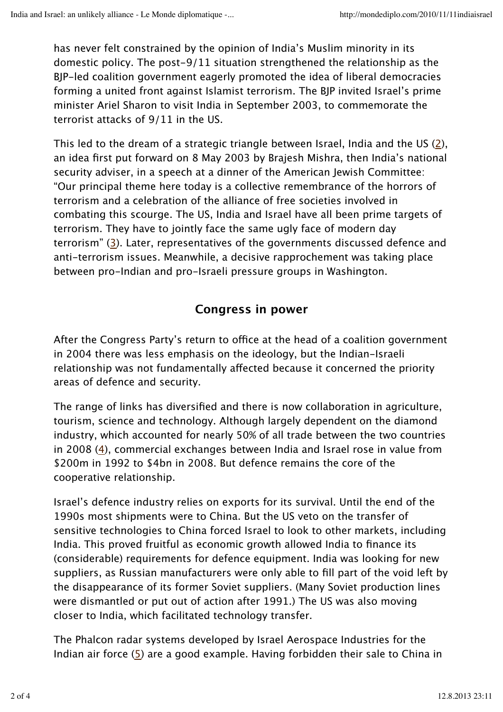has never felt constrained by the opinion of India's Muslim minority in its domestic policy. The post-9/11 situation strengthened the relationship as the BJP-led coalition government eagerly promoted the idea of liberal democracies forming a united front against Islamist terrorism. The BJP invited Israel's prime minister Ariel Sharon to visit India in September 2003, to commemorate the terrorist attacks of 9/11 in the US.

This led to the dream of a strategic triangle between Israel, India and the US (2), an idea first put forward on 8 May 2003 by Brajesh Mishra, then India's national security adviser, in a speech at a dinner of the American Jewish Committee: "Our principal theme here today is a collective remembrance of the horrors of terrorism and a celebration of the alliance of free societies involved in combating this scourge. The US, India and Israel have all been prime targets of terrorism. They have to jointly face the same ugly face of modern day terrorism" (3). Later, representatives of the governments discussed defence and anti-terrorism issues. Meanwhile, a decisive rapprochement was taking place between pro-Indian and pro-Israeli pressure groups in Washington.

# **Congress in power**

After the Congress Party's return to office at the head of a coalition government in 2004 there was less emphasis on the ideology, but the Indian-Israeli relationship was not fundamentally affected because it concerned the priority areas of defence and security.

The range of links has diversified and there is now collaboration in agriculture, tourism, science and technology. Although largely dependent on the diamond industry, which accounted for nearly 50% of all trade between the two countries in 2008 (4), commercial exchanges between India and Israel rose in value from \$200m in 1992 to \$4bn in 2008. But defence remains the core of the cooperative relationship.

Israel's defence industry relies on exports for its survival. Until the end of the 1990s most shipments were to China. But the US veto on the transfer of sensitive technologies to China forced Israel to look to other markets, including India. This proved fruitful as economic growth allowed India to finance its (considerable) requirements for defence equipment. India was looking for new suppliers, as Russian manufacturers were only able to fill part of the void left by the disappearance of its former Soviet suppliers. (Many Soviet production lines were dismantled or put out of action after 1991.) The US was also moving closer to India, which facilitated technology transfer.

The Phalcon radar systems developed by Israel Aerospace Industries for the Indian air force  $(5)$  are a good example. Having forbidden their sale to China in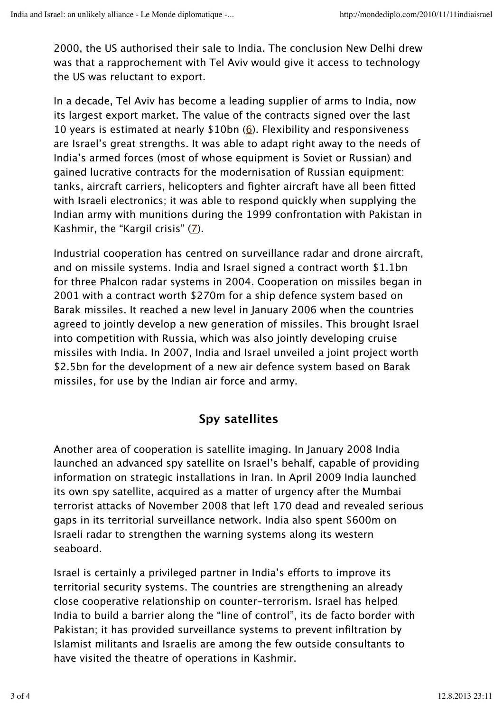2000, the US authorised their sale to India. The conclusion New Delhi drew was that a rapprochement with Tel Aviv would give it access to technology the US was reluctant to export.

In a decade, Tel Aviv has become a leading supplier of arms to India, now its largest export market. The value of the contracts signed over the last 10 years is estimated at nearly  $$10bn (6)$ . Flexibility and responsiveness are Israel's great strengths. It was able to adapt right away to the needs of India's armed forces (most of whose equipment is Soviet or Russian) and gained lucrative contracts for the modernisation of Russian equipment: tanks, aircraft carriers, helicopters and fighter aircraft have all been fitted with Israeli electronics; it was able to respond quickly when supplying the Indian army with munitions during the 1999 confrontation with Pakistan in Kashmir, the "Kargil crisis" (7).

Industrial cooperation has centred on surveillance radar and drone aircraft, and on missile systems. India and Israel signed a contract worth \$1.1bn for three Phalcon radar systems in 2004. Cooperation on missiles began in 2001 with a contract worth \$270m for a ship defence system based on Barak missiles. It reached a new level in January 2006 when the countries agreed to jointly develop a new generation of missiles. This brought Israel into competition with Russia, which was also jointly developing cruise missiles with India. In 2007, India and Israel unveiled a joint project worth \$2.5bn for the development of a new air defence system based on Barak missiles, for use by the Indian air force and army.

# **Spy satellites**

Another area of cooperation is satellite imaging. In January 2008 India launched an advanced spy satellite on Israel's behalf, capable of providing information on strategic installations in Iran. In April 2009 India launched its own spy satellite, acquired as a matter of urgency after the Mumbai terrorist attacks of November 2008 that left 170 dead and revealed serious gaps in its territorial surveillance network. India also spent \$600m on Israeli radar to strengthen the warning systems along its western seaboard.

Israel is certainly a privileged partner in India's efforts to improve its territorial security systems. The countries are strengthening an already close cooperative relationship on counter-terrorism. Israel has helped India to build a barrier along the "line of control", its de facto border with Pakistan; it has provided surveillance systems to prevent infiltration by Islamist militants and Israelis are among the few outside consultants to have visited the theatre of operations in Kashmir.